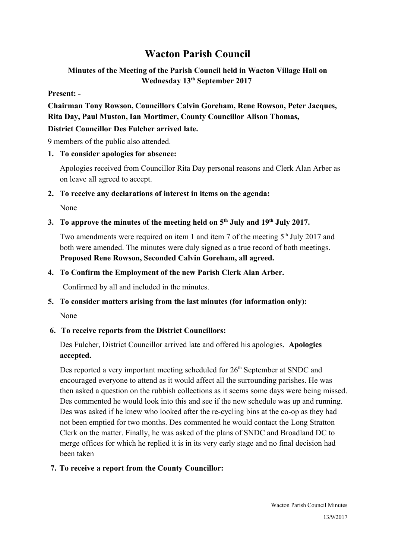# **Wacton Parish Council**

# **Minutes of the Meeting of the Parish Council held in Wacton Village Hall on Wednesday 13th September 2017**

#### **Present: -**

**Chairman Tony Rowson, Councillors Calvin Goreham, Rene Rowson, Peter Jacques, Rita Day, Paul Muston, Ian Mortimer, County Councillor Alison Thomas,** 

#### **District Councillor Des Fulcher arrived late.**

9 members of the public also attended.

#### **1. To consider apologies for absence:**

Apologies received from Councillor Rita Day personal reasons and Clerk Alan Arber as on leave all agreed to accept.

#### **2. To receive any declarations of interest in items on the agenda:**

None

# **3. To approve the minutes of the meeting held on 5th July and 19th July 2017.**

Two amendments were required on item 1 and item 7 of the meeting 5<sup>th</sup> July 2017 and both were amended. The minutes were duly signed as a true record of both meetings. **Proposed Rene Rowson, Seconded Calvin Goreham, all agreed.**

#### **4. To Confirm the Employment of the new Parish Clerk Alan Arber.**

Confirmed by all and included in the minutes.

# **5. To consider matters arising from the last minutes (for information only):**

None

# **6. To receive reports from the District Councillors:**

Des Fulcher, District Councillor arrived late and offered his apologies. **Apologies accepted.**

Des reported a very important meeting scheduled for 26<sup>th</sup> September at SNDC and encouraged everyone to attend as it would affect all the surrounding parishes. He was then asked a question on the rubbish collections as it seems some days were being missed. Des commented he would look into this and see if the new schedule was up and running. Des was asked if he knew who looked after the re-cycling bins at the co-op as they had not been emptied for two months. Des commented he would contact the Long Stratton Clerk on the matter. Finally, he was asked of the plans of SNDC and Broadland DC to merge offices for which he replied it is in its very early stage and no final decision had been taken

#### **7. To receive a report from the County Councillor:**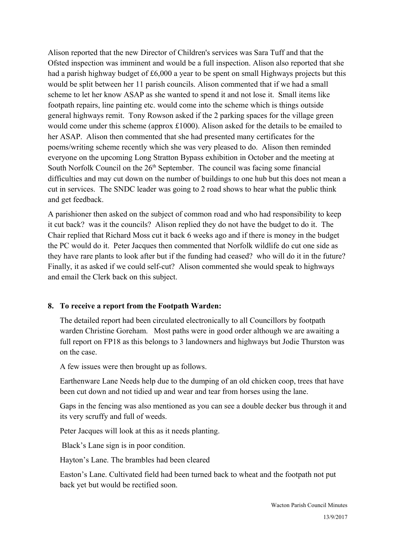Alison reported that the new Director of Children's services was Sara Tuff and that the Ofsted inspection was imminent and would be a full inspection. Alison also reported that she had a parish highway budget of £6,000 a year to be spent on small Highways projects but this would be split between her 11 parish councils. Alison commented that if we had a small scheme to let her know ASAP as she wanted to spend it and not lose it. Small items like footpath repairs, line painting etc. would come into the scheme which is things outside general highways remit. Tony Rowson asked if the 2 parking spaces for the village green would come under this scheme (approx £1000). Alison asked for the details to be emailed to her ASAP. Alison then commented that she had presented many certificates for the poems/writing scheme recently which she was very pleased to do. Alison then reminded everyone on the upcoming Long Stratton Bypass exhibition in October and the meeting at South Norfolk Council on the  $26<sup>th</sup>$  September. The council was facing some financial difficulties and may cut down on the number of buildings to one hub but this does not mean a cut in services. The SNDC leader was going to 2 road shows to hear what the public think and get feedback.

A parishioner then asked on the subject of common road and who had responsibility to keep it cut back? was it the councils? Alison replied they do not have the budget to do it. The Chair replied that Richard Moss cut it back 6 weeks ago and if there is money in the budget the PC would do it. Peter Jacques then commented that Norfolk wildlife do cut one side as they have rare plants to look after but if the funding had ceased? who will do it in the future? Finally, it as asked if we could self-cut? Alison commented she would speak to highways and email the Clerk back on this subject.

#### **8. To receive a report from the Footpath Warden:**

The detailed report had been circulated electronically to all Councillors by footpath warden Christine Goreham. Most paths were in good order although we are awaiting a full report on FP18 as this belongs to 3 landowners and highways but Jodie Thurston was on the case.

A few issues were then brought up as follows.

Earthenware Lane Needs help due to the dumping of an old chicken coop, trees that have been cut down and not tidied up and wear and tear from horses using the lane.

Gaps in the fencing was also mentioned as you can see a double decker bus through it and its very scruffy and full of weeds.

Peter Jacques will look at this as it needs planting.

Black's Lane sign is in poor condition.

Hayton's Lane. The brambles had been cleared

Easton's Lane. Cultivated field had been turned back to wheat and the footpath not put back yet but would be rectified soon.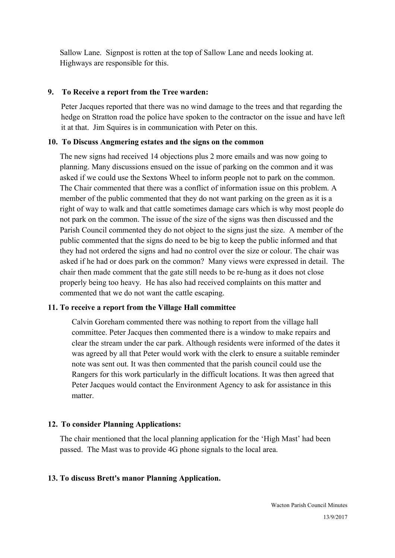Sallow Lane. Signpost is rotten at the top of Sallow Lane and needs looking at. Highways are responsible for this.

#### **9. To Receive a report from the Tree warden:**

Peter Jacques reported that there was no wind damage to the trees and that regarding the hedge on Stratton road the police have spoken to the contractor on the issue and have left it at that. Jim Squires is in communication with Peter on this.

#### **10. To Discuss Angmering estates and the signs on the common**

The new signs had received 14 objections plus 2 more emails and was now going to planning. Many discussions ensued on the issue of parking on the common and it was asked if we could use the Sextons Wheel to inform people not to park on the common. The Chair commented that there was a conflict of information issue on this problem. A member of the public commented that they do not want parking on the green as it is a right of way to walk and that cattle sometimes damage cars which is why most people do not park on the common. The issue of the size of the signs was then discussed and the Parish Council commented they do not object to the signs just the size. A member of the public commented that the signs do need to be big to keep the public informed and that they had not ordered the signs and had no control over the size or colour. The chair was asked if he had or does park on the common? Many views were expressed in detail. The chair then made comment that the gate still needs to be re-hung as it does not close properly being too heavy. He has also had received complaints on this matter and commented that we do not want the cattle escaping.

#### **11. To receive a report from the Village Hall committee**

Calvin Goreham commented there was nothing to report from the village hall committee. Peter Jacques then commented there is a window to make repairs and clear the stream under the car park. Although residents were informed of the dates it was agreed by all that Peter would work with the clerk to ensure a suitable reminder note was sent out. It was then commented that the parish council could use the Rangers for this work particularly in the difficult locations. It was then agreed that Peter Jacques would contact the Environment Agency to ask for assistance in this matter.

#### **12. To consider Planning Applications:**

The chair mentioned that the local planning application for the 'High Mast' had been passed. The Mast was to provide 4G phone signals to the local area.

#### **13. To discuss Brett's manor Planning Application.**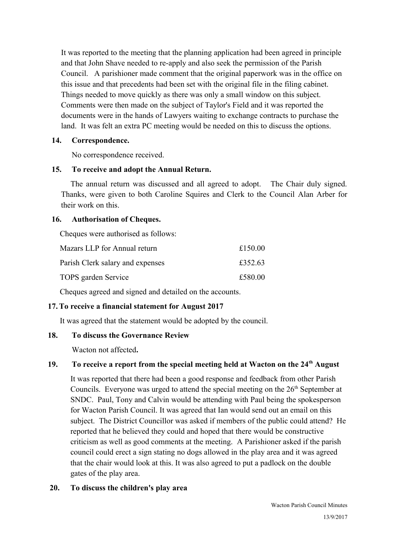It was reported to the meeting that the planning application had been agreed in principle and that John Shave needed to re-apply and also seek the permission of the Parish Council. A parishioner made comment that the original paperwork was in the office on this issue and that precedents had been set with the original file in the filing cabinet. Things needed to move quickly as there was only a small window on this subject. Comments were then made on the subject of Taylor's Field and it was reported the documents were in the hands of Lawyers waiting to exchange contracts to purchase the land. It was felt an extra PC meeting would be needed on this to discuss the options.

## **14. Correspondence.**

No correspondence received.

## **15. To receive and adopt the Annual Return.**

 The annual return was discussed and all agreed to adopt. The Chair duly signed. Thanks, were given to both Caroline Squires and Clerk to the Council Alan Arber for their work on this.

## **16. Authorisation of Cheques.**

Cheques were authorised as follows:

| Mazars LLP for Annual return     | £150.00 |
|----------------------------------|---------|
| Parish Clerk salary and expenses | £352.63 |
| TOPS garden Service              | £580.00 |

Cheques agreed and signed and detailed on the accounts.

# **17. To receive a financial statement for August 2017**

It was agreed that the statement would be adopted by the council.

# **18. To discuss the Governance Review**

Wacton not affected**.**

# **19. To receive a report from the special meeting held at Wacton on the 24th August**

It was reported that there had been a good response and feedback from other Parish Councils. Everyone was urged to attend the special meeting on the  $26<sup>th</sup>$  September at SNDC. Paul, Tony and Calvin would be attending with Paul being the spokesperson for Wacton Parish Council. It was agreed that Ian would send out an email on this subject. The District Councillor was asked if members of the public could attend? He reported that he believed they could and hoped that there would be constructive criticism as well as good comments at the meeting. A Parishioner asked if the parish council could erect a sign stating no dogs allowed in the play area and it was agreed that the chair would look at this. It was also agreed to put a padlock on the double gates of the play area.

#### **20. To discuss the children's play area**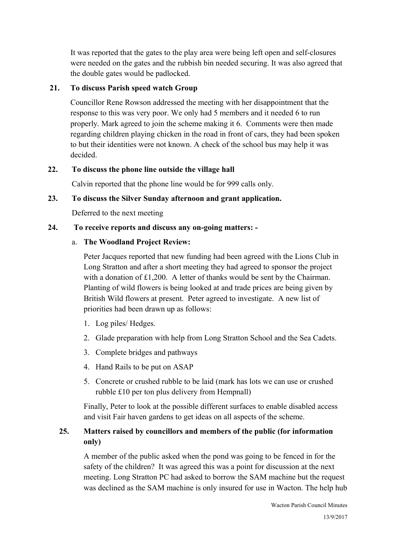It was reported that the gates to the play area were being left open and self-closures were needed on the gates and the rubbish bin needed securing. It was also agreed that the double gates would be padlocked.

# **21. To discuss Parish speed watch Group**

Councillor Rene Rowson addressed the meeting with her disappointment that the response to this was very poor. We only had 5 members and it needed 6 to run properly. Mark agreed to join the scheme making it 6. Comments were then made regarding children playing chicken in the road in front of cars, they had been spoken to but their identities were not known. A check of the school bus may help it was decided.

## **22. To discuss the phone line outside the village hall**

Calvin reported that the phone line would be for 999 calls only.

## **23. To discuss the Silver Sunday afternoon and grant application.**

Deferred to the next meeting

## **24. To receive reports and discuss any on-going matters: -**

## a. **The Woodland Project Review:**

Peter Jacques reported that new funding had been agreed with the Lions Club in Long Stratton and after a short meeting they had agreed to sponsor the project with a donation of £1,200. A letter of thanks would be sent by the Chairman. Planting of wild flowers is being looked at and trade prices are being given by British Wild flowers at present. Peter agreed to investigate. A new list of priorities had been drawn up as follows:

- 1. Log piles/ Hedges.
- 2. Glade preparation with help from Long Stratton School and the Sea Cadets.
- 3. Complete bridges and pathways
- 4. Hand Rails to be put on ASAP
- 5. Concrete or crushed rubble to be laid (mark has lots we can use or crushed rubble £10 per ton plus delivery from Hempnall)

Finally, Peter to look at the possible different surfaces to enable disabled access and visit Fair haven gardens to get ideas on all aspects of the scheme.

# **25. Matters raised by councillors and members of the public (for information only)**

A member of the public asked when the pond was going to be fenced in for the safety of the children? It was agreed this was a point for discussion at the next meeting. Long Stratton PC had asked to borrow the SAM machine but the request was declined as the SAM machine is only insured for use in Wacton. The help hub